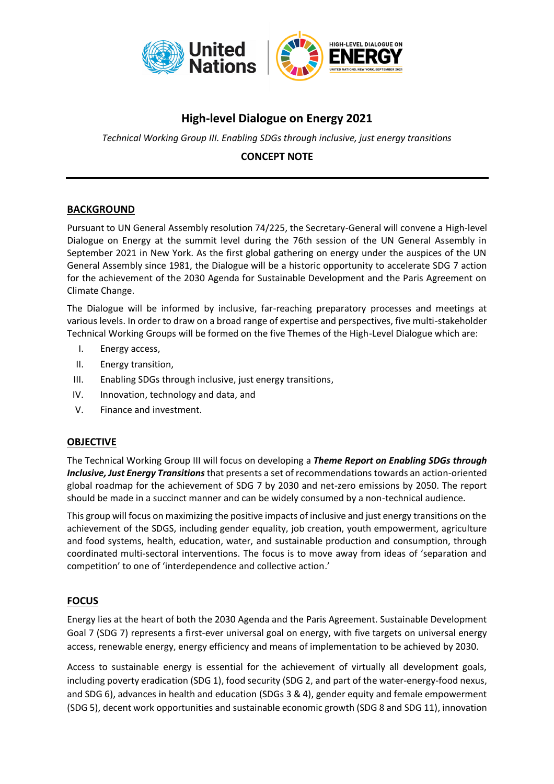

# **High-level Dialogue on Energy 2021**

*Technical Working Group III. Enabling SDGs through inclusive, just energy transitions*

## **CONCEPT NOTE**

### **BACKGROUND**

Pursuant to UN General Assembly resolution 74/225, the Secretary-General will convene a High-level Dialogue on Energy at the summit level during the 76th session of the UN General Assembly in September 2021 in New York. As the first global gathering on energy under the auspices of the UN General Assembly since 1981, the Dialogue will be a historic opportunity to accelerate SDG 7 action for the achievement of the 2030 Agenda for Sustainable Development and the Paris Agreement on Climate Change.

The Dialogue will be informed by inclusive, far-reaching preparatory processes and meetings at various levels. In order to draw on a broad range of expertise and perspectives, five multi-stakeholder Technical Working Groups will be formed on the five Themes of the High-Level Dialogue which are:

- I. Energy access,
- II. Energy transition,
- III. Enabling SDGs through inclusive, just energy transitions,
- IV. Innovation, technology and data, and
- V. Finance and investment.

### **OBJECTIVE**

The Technical Working Group III will focus on developing a *Theme Report on Enabling SDGs through Inclusive, Just Energy Transitions* that presents a set of recommendations towards an action-oriented global roadmap for the achievement of SDG 7 by 2030 and net-zero emissions by 2050. The report should be made in a succinct manner and can be widely consumed by a non-technical audience.

This group will focus on maximizing the positive impacts of inclusive and just energy transitions on the achievement of the SDGS, including gender equality, job creation, youth empowerment, agriculture and food systems, health, education, water, and sustainable production and consumption, through coordinated multi-sectoral interventions. The focus is to move away from ideas of 'separation and competition' to one of 'interdependence and collective action.'

### **FOCUS**

Energy lies at the heart of both the 2030 Agenda and the Paris Agreement. Sustainable Development Goal 7 (SDG 7) represents a first-ever universal goal on energy, with five targets on universal energy access, renewable energy, energy efficiency and means of implementation to be achieved by 2030.

Access to sustainable energy is essential for the achievement of virtually all development goals, including poverty eradication (SDG 1), food security (SDG 2, and part of the water-energy-food nexus, and SDG 6), advances in health and education (SDGs 3 & 4), gender equity and female empowerment (SDG 5), decent work opportunities and sustainable economic growth (SDG 8 and SDG 11), innovation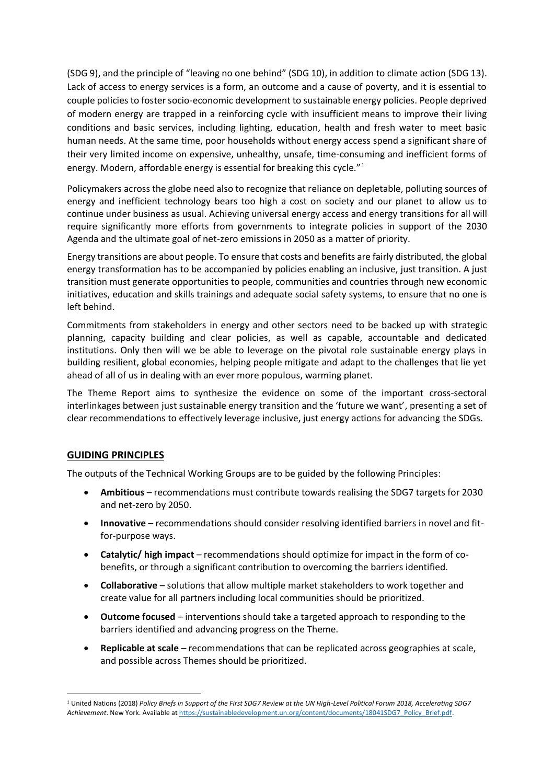(SDG 9), and the principle of "leaving no one behind" (SDG 10), in addition to climate action (SDG 13). Lack of access to energy services is a form, an outcome and a cause of poverty, and it is essential to couple policies to foster socio-economic development to sustainable energy policies. People deprived of modern energy are trapped in a reinforcing cycle with insufficient means to improve their living conditions and basic services, including lighting, education, health and fresh water to meet basic human needs. At the same time, poor households without energy access spend a significant share of their very limited income on expensive, unhealthy, unsafe, time-consuming and inefficient forms of energy. Modern, affordable energy is essential for breaking this cycle."<sup>1</sup>

Policymakers across the globe need also to recognize that reliance on depletable, polluting sources of energy and inefficient technology bears too high a cost on society and our planet to allow us to continue under business as usual. Achieving universal energy access and energy transitions for all will require significantly more efforts from governments to integrate policies in support of the 2030 Agenda and the ultimate goal of net-zero emissions in 2050 as a matter of priority.

Energy transitions are about people. To ensure that costs and benefits are fairly distributed, the global energy transformation has to be accompanied by policies enabling an inclusive, just transition. A just transition must generate opportunities to people, communities and countries through new economic initiatives, education and skills trainings and adequate social safety systems, to ensure that no one is left behind.

Commitments from stakeholders in energy and other sectors need to be backed up with strategic planning, capacity building and clear policies, as well as capable, accountable and dedicated institutions. Only then will we be able to leverage on the pivotal role sustainable energy plays in building resilient, global economies, helping people mitigate and adapt to the challenges that lie yet ahead of all of us in dealing with an ever more populous, warming planet.

The Theme Report aims to synthesize the evidence on some of the important cross-sectoral interlinkages between just sustainable energy transition and the 'future we want', presenting a set of clear recommendations to effectively leverage inclusive, just energy actions for advancing the SDGs.

### **GUIDING PRINCIPLES**

The outputs of the Technical Working Groups are to be guided by the following Principles:

- **Ambitious** recommendations must contribute towards realising the SDG7 targets for 2030 and net-zero by 2050.
- **Innovative** recommendations should consider resolving identified barriers in novel and fitfor-purpose ways.
- **Catalytic/ high impact** recommendations should optimize for impact in the form of cobenefits, or through a significant contribution to overcoming the barriers identified.
- **Collaborative** solutions that allow multiple market stakeholders to work together and create value for all partners including local communities should be prioritized.
- **Outcome focused** interventions should take a targeted approach to responding to the barriers identified and advancing progress on the Theme.
- **Replicable at scale** recommendations that can be replicated across geographies at scale, and possible across Themes should be prioritized.

<sup>1</sup> United Nations (2018) *Policy Briefs in Support of the First SDG7 Review at the UN High-Level Political Forum 2018, Accelerating SDG7 Achievement*. New York. Available a[t https://sustainabledevelopment.un.org/content/documents/18041SDG7\\_Policy\\_Brief.pdf.](https://sustainabledevelopment.un.org/content/documents/18041SDG7_Policy_Brief.pdf)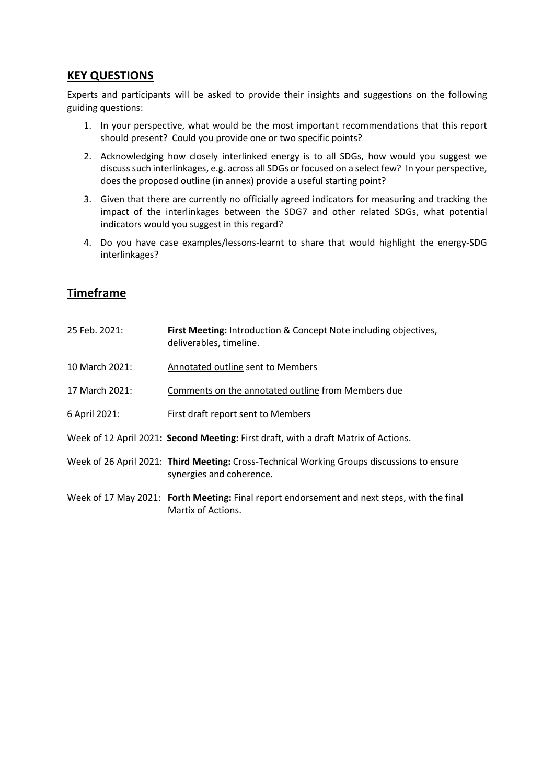## **KEY QUESTIONS**

Experts and participants will be asked to provide their insights and suggestions on the following guiding questions:

- 1. In your perspective, what would be the most important recommendations that this report should present? Could you provide one or two specific points?
- 2. Acknowledging how closely interlinked energy is to all SDGs, how would you suggest we discusssuch interlinkages, e.g. across all SDGs or focused on a select few? In your perspective, does the proposed outline (in annex) provide a useful starting point?
- 3. Given that there are currently no officially agreed indicators for measuring and tracking the impact of the interlinkages between the SDG7 and other related SDGs, what potential indicators would you suggest in this regard?
- 4. Do you have case examples/lessons-learnt to share that would highlight the energy-SDG interlinkages?

# **Timeframe**

| 25 Feb. 2021:  | First Meeting: Introduction & Concept Note including objectives,<br>deliverables, timeline.                            |
|----------------|------------------------------------------------------------------------------------------------------------------------|
| 10 March 2021: | Annotated outline sent to Members                                                                                      |
| 17 March 2021: | Comments on the annotated outline from Members due                                                                     |
| 6 April 2021:  | <b>First draft report sent to Members</b>                                                                              |
|                | Week of 12 April 2021: Second Meeting: First draft, with a draft Matrix of Actions.                                    |
|                | Week of 26 April 2021: Third Meeting: Cross-Technical Working Groups discussions to ensure<br>synergies and coherence. |
|                | Week of 17 May 2021: Forth Meeting: Final report endorsement and next steps, with the final<br>Martix of Actions.      |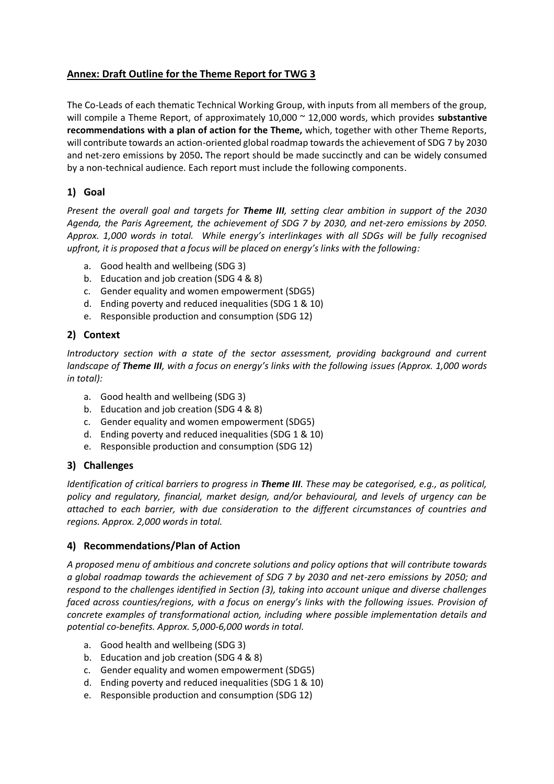## **Annex: Draft Outline for the Theme Report for TWG 3**

The Co-Leads of each thematic Technical Working Group, with inputs from all members of the group, will compile a Theme Report, of approximately 10,000 ~ 12,000 words, which provides **substantive recommendations with a plan of action for the Theme,** which, together with other Theme Reports, will contribute towards an action-oriented global roadmap towards the achievement of SDG 7 by 2030 and net-zero emissions by 2050**.** The report should be made succinctly and can be widely consumed by a non-technical audience. Each report must include the following components.

### **1) Goal**

*Present the overall goal and targets for Theme III, setting clear ambition in support of the 2030 Agenda, the Paris Agreement, the achievement of SDG 7 by 2030, and net-zero emissions by 2050. Approx. 1,000 words in total. While energy's interlinkages with all SDGs will be fully recognised upfront, it is proposed that a focus will be placed on energy's links with the following:* 

- a. Good health and wellbeing (SDG 3)
- b. Education and job creation (SDG 4 & 8)
- c. Gender equality and women empowerment (SDG5)
- d. Ending poverty and reduced inequalities (SDG 1 & 10)
- e. Responsible production and consumption (SDG 12)

## **2) Context**

*Introductory section with a state of the sector assessment, providing background and current landscape of Theme III, with a focus on energy's links with the following issues (Approx. 1,000 words in total):*

- a. Good health and wellbeing (SDG 3)
- b. Education and job creation (SDG 4 & 8)
- c. Gender equality and women empowerment (SDG5)
- d. Ending poverty and reduced inequalities (SDG 1 & 10)
- e. Responsible production and consumption (SDG 12)

## **3) Challenges**

*Identification of critical barriers to progress in Theme III. These may be categorised, e.g., as political, policy and regulatory, financial, market design, and/or behavioural, and levels of urgency can be attached to each barrier, with due consideration to the different circumstances of countries and regions. Approx. 2,000 words in total.*

### **4) Recommendations/Plan of Action**

*A proposed menu of ambitious and concrete solutions and policy options that will contribute towards a global roadmap towards the achievement of SDG 7 by 2030 and net-zero emissions by 2050; and respond to the challenges identified in Section (3), taking into account unique and diverse challenges faced across counties/regions, with a focus on energy's links with the following issues. Provision of concrete examples of transformational action, including where possible implementation details and potential co-benefits. Approx. 5,000-6,000 words in total.*

- a. Good health and wellbeing (SDG 3)
- b. Education and job creation (SDG 4 & 8)
- c. Gender equality and women empowerment (SDG5)
- d. Ending poverty and reduced inequalities (SDG 1 & 10)
- e. Responsible production and consumption (SDG 12)